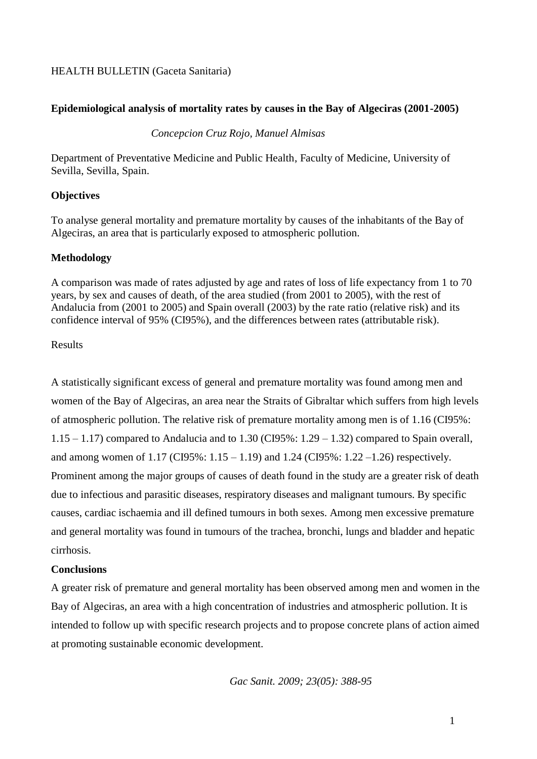## HEALTH BULLETIN (Gaceta Sanitaria)

## **Epidemiological analysis of mortality rates by causes in the Bay of Algeciras (2001-2005)**

## *Concepcion Cruz Rojo, Manuel Almisas*

Department of Preventative Medicine and Public Health, Faculty of Medicine, University of Sevilla, Sevilla, Spain.

## **Objectives**

To analyse general mortality and premature mortality by causes of the inhabitants of the Bay of Algeciras, an area that is particularly exposed to atmospheric pollution.

## **Methodology**

A comparison was made of rates adjusted by age and rates of loss of life expectancy from 1 to 70 years, by sex and causes of death, of the area studied (from 2001 to 2005), with the rest of Andalucia from (2001 to 2005) and Spain overall (2003) by the rate ratio (relative risk) and its confidence interval of 95% (CI95%), and the differences between rates (attributable risk).

## Results

A statistically significant excess of general and premature mortality was found among men and women of the Bay of Algeciras, an area near the Straits of Gibraltar which suffers from high levels of atmospheric pollution. The relative risk of premature mortality among men is of 1.16 (CI95%:  $1.15 - 1.17$ ) compared to Andalucia and to  $1.30$  (CI95%:  $1.29 - 1.32$ ) compared to Spain overall, and among women of 1.17 (CI95%: 1.15 – 1.19) and 1.24 (CI95%: 1.22 –1.26) respectively. Prominent among the major groups of causes of death found in the study are a greater risk of death due to infectious and parasitic diseases, respiratory diseases and malignant tumours. By specific causes, cardiac ischaemia and ill defined tumours in both sexes. Among men excessive premature and general mortality was found in tumours of the trachea, bronchi, lungs and bladder and hepatic cirrhosis.

### **Conclusions**

A greater risk of premature and general mortality has been observed among men and women in the Bay of Algeciras, an area with a high concentration of industries and atmospheric pollution. It is intended to follow up with specific research projects and to propose concrete plans of action aimed at promoting sustainable economic development.

*Gac Sanit. 2009; 23(05): 388-95*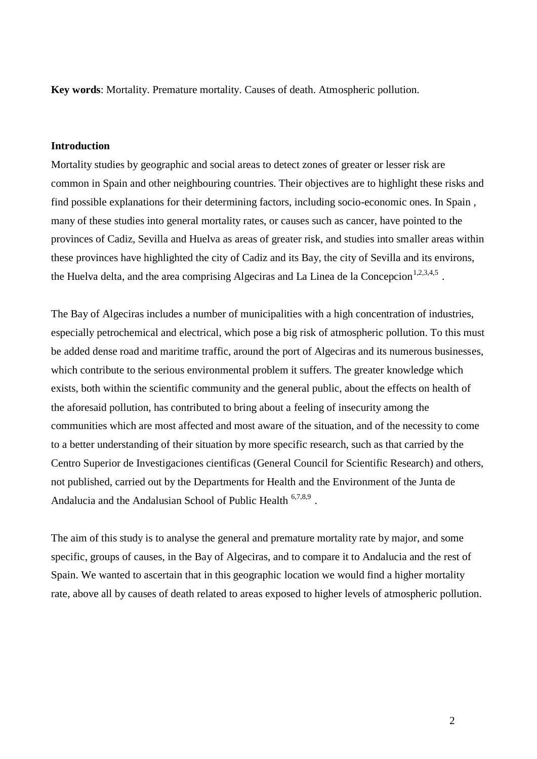**Key words**: Mortality. Premature mortality. Causes of death. Atmospheric pollution.

## **Introduction**

Mortality studies by geographic and social areas to detect zones of greater or lesser risk are common in Spain and other neighbouring countries. Their objectives are to highlight these risks and find possible explanations for their determining factors, including socio-economic ones. In Spain , many of these studies into general mortality rates, or causes such as cancer, have pointed to the provinces of Cadiz, Sevilla and Huelva as areas of greater risk, and studies into smaller areas within these provinces have highlighted the city of Cadiz and its Bay, the city of Sevilla and its environs, the Huelva delta, and the area comprising Algeciras and La Linea de la Concepcion<sup>1,2,3,4,5</sup>.

The Bay of Algeciras includes a number of municipalities with a high concentration of industries, especially petrochemical and electrical, which pose a big risk of atmospheric pollution. To this must be added dense road and maritime traffic, around the port of Algeciras and its numerous businesses, which contribute to the serious environmental problem it suffers. The greater knowledge which exists, both within the scientific community and the general public, about the effects on health of the aforesaid pollution, has contributed to bring about a feeling of insecurity among the communities which are most affected and most aware of the situation, and of the necessity to come to a better understanding of their situation by more specific research, such as that carried by the Centro Superior de Investigaciones cientificas (General Council for Scientific Research) and others, not published, carried out by the Departments for Health and the Environment of the Junta de Andalucia and the Andalusian School of Public Health <sup>6,7,8,9</sup>.

The aim of this study is to analyse the general and premature mortality rate by major, and some specific, groups of causes, in the Bay of Algeciras, and to compare it to Andalucia and the rest of Spain. We wanted to ascertain that in this geographic location we would find a higher mortality rate, above all by causes of death related to areas exposed to higher levels of atmospheric pollution.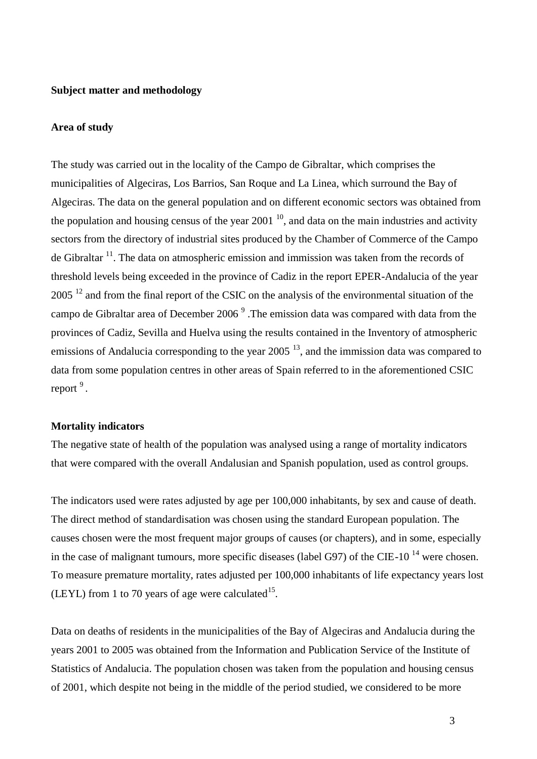#### **Subject matter and methodology**

#### **Area of study**

The study was carried out in the locality of the Campo de Gibraltar, which comprises the municipalities of Algeciras, Los Barrios, San Roque and La Linea, which surround the Bay of Algeciras. The data on the general population and on different economic sectors was obtained from the population and housing census of the year  $2001<sup>10</sup>$ , and data on the main industries and activity sectors from the directory of industrial sites produced by the Chamber of Commerce of the Campo de Gibraltar  $11$ . The data on atmospheric emission and immission was taken from the records of threshold levels being exceeded in the province of Cadiz in the report EPER-Andalucia of the year  $2005<sup>12</sup>$  and from the final report of the CSIC on the analysis of the environmental situation of the campo de Gibraltar area of December 2006<sup>9</sup>. The emission data was compared with data from the provinces of Cadiz, Sevilla and Huelva using the results contained in the Inventory of atmospheric emissions of Andalucia corresponding to the year  $2005<sup>13</sup>$ , and the immission data was compared to data from some population centres in other areas of Spain referred to in the aforementioned CSIC report<sup>9</sup>.

#### **Mortality indicators**

The negative state of health of the population was analysed using a range of mortality indicators that were compared with the overall Andalusian and Spanish population, used as control groups.

The indicators used were rates adjusted by age per 100,000 inhabitants, by sex and cause of death. The direct method of standardisation was chosen using the standard European population. The causes chosen were the most frequent major groups of causes (or chapters), and in some, especially in the case of malignant tumours, more specific diseases (label G97) of the CIE-10<sup> $14$ </sup> were chosen. To measure premature mortality, rates adjusted per 100,000 inhabitants of life expectancy years lost (LEYL) from 1 to 70 years of age were calculated<sup>15</sup>.

Data on deaths of residents in the municipalities of the Bay of Algeciras and Andalucia during the years 2001 to 2005 was obtained from the Information and Publication Service of the Institute of Statistics of Andalucia. The population chosen was taken from the population and housing census of 2001, which despite not being in the middle of the period studied, we considered to be more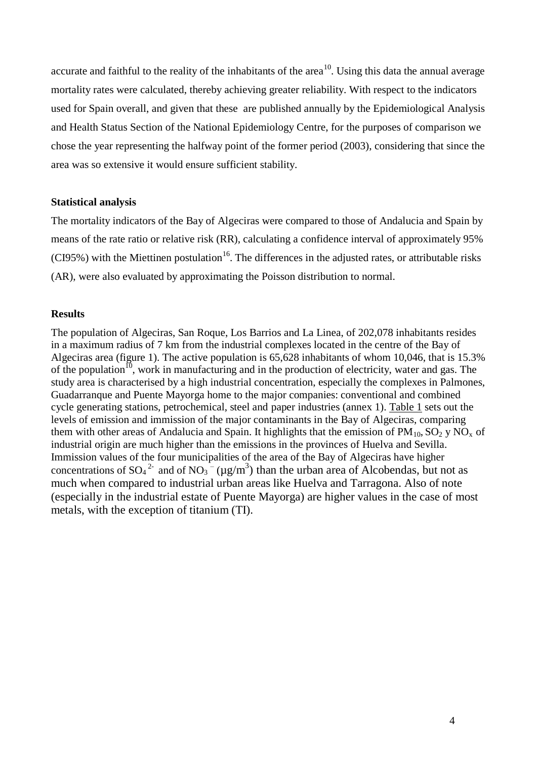accurate and faithful to the reality of the inhabitants of the area<sup>10</sup>. Using this data the annual average mortality rates were calculated, thereby achieving greater reliability. With respect to the indicators used for Spain overall, and given that these are published annually by the Epidemiological Analysis and Health Status Section of the National Epidemiology Centre, for the purposes of comparison we chose the year representing the halfway point of the former period (2003), considering that since the area was so extensive it would ensure sufficient stability.

#### **Statistical analysis**

The mortality indicators of the Bay of Algeciras were compared to those of Andalucia and Spain by means of the rate ratio or relative risk (RR), calculating a confidence interval of approximately 95% (CI95%) with the Miettinen postulation<sup>16</sup>. The differences in the adjusted rates, or attributable risks (AR), were also evaluated by approximating the Poisson distribution to normal.

## **Results**

The population of Algeciras, San Roque, Los Barrios and La Linea, of 202,078 inhabitants resides in a maximum radius of 7 km from the industrial complexes located in the centre of the Bay of Algeciras area (figure 1). The active population is 65,628 inhabitants of whom 10,046, that is 15.3% of the population<sup>10</sup>, work in manufacturing and in the production of electricity, water and gas. The study area is characterised by a high industrial concentration, especially the complexes in Palmones, Guadarranque and Puente Mayorga home to the major companies: conventional and combined cycle generating stations, petrochemical, steel and paper industries (annex 1). Table 1 sets out the levels of emission and immission of the major contaminants in the Bay of Algeciras, comparing them with other areas of Andalucia and Spain. It highlights that the emission of  $PM_{10}$ ,  $SO_2$  y  $NO_x$  of industrial origin are much higher than the emissions in the provinces of Huelva and Sevilla. Immission values of the four municipalities of the area of the Bay of Algeciras have higher concentrations of SO<sub>4</sub><sup>2</sup> and of NO<sub>3</sub><sup>-</sup> ( $\mu$ g/m<sup>3</sup>) than the urban area of Alcobendas, but not as much when compared to industrial urban areas like Huelva and Tarragona. Also of note (especially in the industrial estate of Puente Mayorga) are higher values in the case of most metals, with the exception of titanium (TI).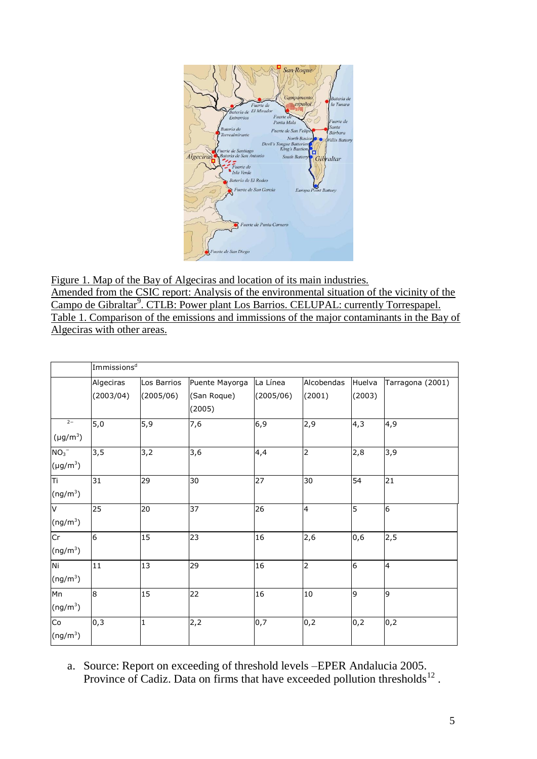

Figure 1. Map of the Bay of Algeciras and location of its main industries. Amended from the CSIC report: Analysis of the environmental situation of the vicinity of the Campo de Gibraltar<sup>9</sup>. CTLB: Power plant Los Barrios. CELUPAL: currently Torrespapel. Table 1. Comparison of the emissions and immissions of the major contaminants in the Bay of Algeciras with other areas.

|                                       | Immissions <sup>d</sup> |                          |                                         |                       |                      |                  |                  |
|---------------------------------------|-------------------------|--------------------------|-----------------------------------------|-----------------------|----------------------|------------------|------------------|
|                                       | Algeciras<br>(2003/04)  | Los Barrios<br>(2005/06) | Puente Mayorga<br>(San Roque)<br>(2005) | La Línea<br>(2005/06) | Alcobendas<br>(2001) | Huelva<br>(2003) | Tarragona (2001) |
| $2 -$<br>$(\mu g/m^3)$                | 5,0                     | 5,9                      | 7,6                                     | 6,9                   | 2,9                  | 4,3              | 4,9              |
| $NO3-$<br>$(\mu g/m^3)$               | 3,5                     | 3,2                      | 3,6                                     | 4,4                   | 2                    | 2,8              | 3,9              |
| π<br>$(ng/m^3)$                       | 31                      | 29                       | 30                                      | 27                    | 30                   | 54               | 21               |
| $\overline{\mathsf{v}}$<br>$(ng/m^3)$ | 25                      | 20                       | 37                                      | 26                    | $\overline{4}$       | 5                | 6                |
| Cr<br>$(ng/m^3)$                      | 6                       | 15                       | 23                                      | 16                    | 2,6                  | 0,6              | 2,5              |
| Ni<br>(ng/m <sup>3</sup> )            | 11                      | 13                       | 29                                      | 16                    | $\overline{2}$       | 6                | 4                |
| Mn<br>$(ng/m^3)$                      | 8                       | 15                       | 22                                      | 16                    | $10\,$               | 9                | 9                |
| Co<br>$(ng/m^3)$                      | 0,3                     | $\mathbf{1}$             | 2,2                                     | 0,7                   | 0,2                  | 0,2              | 0,2              |

a. Source: Report on exceeding of threshold levels –EPER Andalucia 2005. Province of Cadiz. Data on firms that have exceeded pollution thresholds $^{12}$ .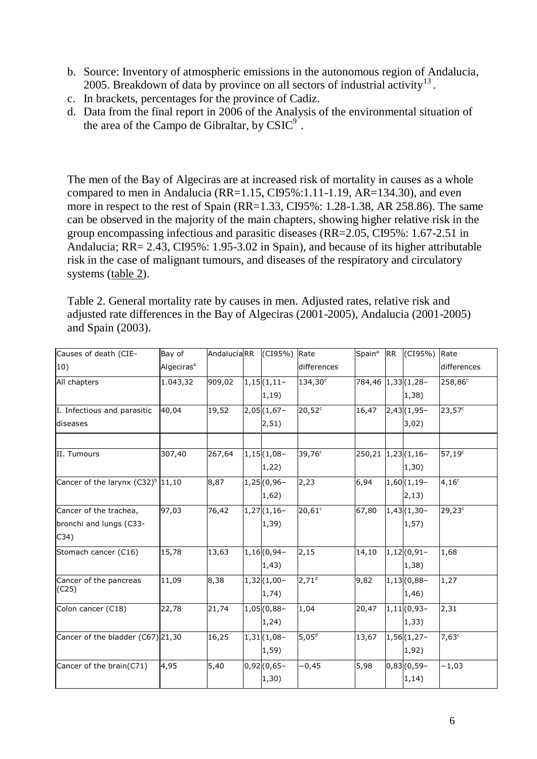- b. Source: Inventory of atmospheric emissions in the autonomous region of Andalucia, 2005. Breakdown of data by province on all sectors of industrial activity $^{13}$ .
- c. In brackets, percentages for the province of Cadiz.
- d. Data from the final report in 2006 of the Analysis of the environmental situation of the area of the Campo de Gibraltar, by  $CSIC<sup>9</sup>$ .

The men of the Bay of Algeciras are at increased risk of mortality in causes as a whole compared to men in Andalucia (RR=1.15, CI95%:1.11-1.19, AR=134.30), and even more in respect to the rest of Spain (RR=1.33, CI95%: 1.28-1.38, AR 258.86). The same can be observed in the majority of the main chapters, showing higher relative risk in the group encompassing infectious and parasitic diseases (RR=2.05, CI95%: 1.67-2.51 in Andalucia; RR= 2.43, CI95%: 1.95-3.02 in Spain), and because of its higher attributable risk in the case of malignant tumours, and diseases of the respiratory and circulatory systems (table 2).

Table 2. General mortality rate by causes in men. Adjusted rates, relative risk and adjusted rate differences in the Bay of Algeciras (2001-2005), Andalucia (2001-2005) and Spain (2003).

| Causes of death (CIE-                | Bay of                 | AndalucíaRR | (CI95%)               | Rate            | Spain <sup>a</sup>     | <b>RR</b> | (CI95%)      | Rate               |
|--------------------------------------|------------------------|-------------|-----------------------|-----------------|------------------------|-----------|--------------|--------------------|
| 10)                                  | Algeciras <sup>a</sup> |             |                       | differences     |                        |           |              | differences        |
| All chapters                         | 1.043,32               | 909,02      | $1,15(1,11-$          | 134,30°         | 784,46 1,33 (1,28-     |           |              | 258,86°            |
|                                      |                        |             | 1,19)                 |                 |                        |           | 1,38)        |                    |
| I. Infectious and parasitic          | 40,04                  | 19,52       | $2,05(1,67-$          | $20,52^c$       | 16,47                  |           | $2,43(1,95-$ | 23,57 <sup>c</sup> |
| diseases                             |                        |             | 2,51)                 |                 |                        |           | 3,02)        |                    |
|                                      |                        |             |                       |                 |                        |           |              |                    |
| II. Tumours                          | 307,40                 | 267,64      | $1,15(1,08-$<br>1,22) | $39,76^c$       | 250, 21 1, 23 (1, 16 - |           | 1,30)        | $57,19^c$          |
| Cancer of the larynx $(C32)^b$ 11,10 |                        | 8,87        | $1,25(0,96-$          | 2,23            | 6,94                   |           | $1,60(1,19-$ | $4,16^c$           |
|                                      |                        |             | 1,62)                 |                 |                        |           | 2,13)        |                    |
| Cancer of the trachea,               | 97,03                  | 76,42       | $1,27(1,16-$          | $20,61^{\circ}$ | 67,80                  |           | $1,43(1,30-$ | $29,23^c$          |
| bronchi and lungs (C33-              |                        |             | 1,39)                 |                 |                        |           | 1, 57)       |                    |
| C34)                                 |                        |             |                       |                 |                        |           |              |                    |
| Stomach cancer (C16)                 | 15,78                  | 13,63       | $1,16(0,94-$          | 2,15            | 14,10                  |           | $1,12(0,91-$ | 1,68               |
|                                      |                        |             | 1,43)                 |                 |                        |           | 1,38)        |                    |
| Cancer of the pancreas               | 11,09                  | 8,38        | $1,32(1,00-$          | $2,71^d$        | 9,82                   |           | $1,13(0,88-$ | 1,27               |
| (C25)                                |                        |             | 1,74)                 |                 |                        |           | 1,46)        |                    |
| Colon cancer (C18)                   | 22,78                  | 21,74       | $1,05(0,88-$          | 1,04            | 20,47                  |           | $1,11(0,93-$ | 2,31               |
|                                      |                        |             | 1,24)                 |                 |                        |           | 1,33)        |                    |
| Cancer of the bladder (C67) 21,30    |                        | 16,25       | $1,31(1,08-$          | $5,05^d$        | 13,67                  |           | $1,56(1,27-$ | $7,63^{\circ}$     |
|                                      |                        |             | 1,59)                 |                 |                        |           | 1,92)        |                    |
| Cancer of the brain(C71)             | 4,95                   | 5,40        | $0,92(0,65 -$         | $-0,45$         | 5,98                   |           | $0,83(0,59-$ | $-1,03$            |
|                                      |                        |             | 1,30)                 |                 |                        |           | 1,14)        |                    |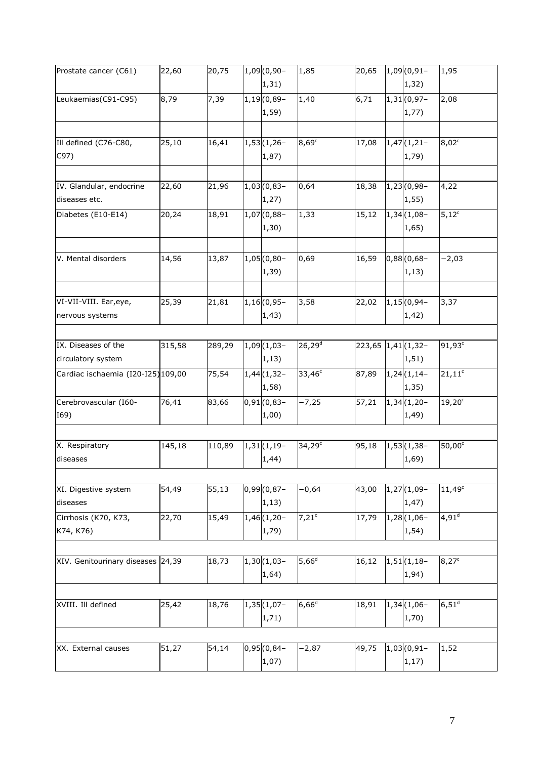| Prostate cancer (C61)              | 22,60  | 20,75  | $1,09(0,90 -$            | 1,85                | 20,65              | $1,09(0,91 -$ | 1,95                             |
|------------------------------------|--------|--------|--------------------------|---------------------|--------------------|---------------|----------------------------------|
|                                    |        |        | 1,31)                    |                     |                    | 1,32)         |                                  |
| Leukaemias(C91-C95)                | 8,79   | 7,39   | $1,19(0,89-$             | 1,40                | 6,71               | $1,31(0,97 -$ | 2,08                             |
|                                    |        |        | 1,59)                    |                     |                    | 1,77)         |                                  |
|                                    |        |        |                          |                     |                    |               |                                  |
| Ill defined (C76-C80,              | 25,10  | 16,41  | $1,53(1,26-$             | $8,69^\circ$        | 17,08              | $1,47(1,21-$  | 8,02 <sup>c</sup>                |
| C97)                               |        |        | 1,87)                    |                     |                    | 1,79)         |                                  |
|                                    |        |        |                          |                     |                    |               |                                  |
| IV. Glandular, endocrine           | 22,60  | 21,96  | $1,03(0,83-$             | 0,64                | 18,38              | $1,23(0,98-$  | 4,22                             |
| diseases etc.                      |        |        | 1,27)                    |                     |                    | 1,55)         |                                  |
| Diabetes (E10-E14)                 | 20,24  | 18,91  | $1,07(0,88-$             | 1,33                | 15,12              | $1,34(1,08-$  | $\overline{5}$ , 12 <sup>c</sup> |
|                                    |        |        | 1,30)                    |                     |                    | 1,65)         |                                  |
|                                    |        |        |                          |                     |                    |               |                                  |
| V. Mental disorders                | 14,56  | 13,87  | $1,05(0,80-$             | 0,69                | 16,59              | $0,88(0,68-$  | $-2,03$                          |
|                                    |        |        | 1,39)                    |                     |                    | 1, 13)        |                                  |
|                                    |        |        |                          |                     |                    |               |                                  |
| VI-VII-VIII. Ear, eye,             | 25,39  | 21,81  | $1,16(0,95-$             | 3,58                | 22,02              | $1,15(0,94-$  | 3,37                             |
| nervous systems                    |        |        | 1,43)                    |                     |                    | 1,42)         |                                  |
|                                    |        |        |                          |                     |                    |               |                                  |
|                                    |        |        |                          |                     |                    |               |                                  |
| IX. Diseases of the                | 315,58 | 289,29 | $\overline{1,09(1,03-)}$ | $26,29^d$           | 223,65 1,41 (1,32- |               | 91,93 <sup>c</sup>               |
| circulatory system                 |        |        | 1, 13)                   |                     |                    | 1, 51)        |                                  |
| Cardiac ischaemia (I20-I25) 109,00 |        | 75,54  | $1,44(1,32-$             | $33,46^c$           | 87,89              | $1,24(1,14-$  | $21,11^c$                        |
|                                    |        |        | 1,58)                    |                     |                    | 1,35)         |                                  |
| Cerebrovascular (I60-              | 76,41  | 83,66  | $0,91(0,83 -$            | $-7,25$             | 57,21              | $1,34(1,20-$  | $19,20^c$                        |
| I69)                               |        |        | 1,00)                    |                     |                    | 1,49)         |                                  |
|                                    |        |        |                          |                     |                    |               |                                  |
| X. Respiratory                     | 145,18 | 110,89 | $1,31(1,19-$             | $34,29^c$           | 95,18              | $1,53(1,38-$  | 50,00°                           |
| diseases                           |        |        | 1,44)                    |                     |                    | 1,69)         |                                  |
|                                    |        |        |                          |                     |                    |               |                                  |
| XI. Digestive system               | 54,49  | 55,13  | $0,99(0,87 -$            | $-0,64$             | 43,00              | $1,27(1,09-$  | $11,49^c$                        |
| diseases                           |        |        | 1, 13)                   |                     |                    | 1,47)         |                                  |
| Cirrhosis (K70, K73,               | 22,70  | 15,49  | $1,46(1,20-$             | $7,21$ <sup>c</sup> | 17,79              | $1,28(1,06-$  | $4,91^d$                         |
| K74, K76)                          |        |        | 1,79)                    |                     |                    | 1,54)         |                                  |
|                                    |        |        |                          |                     |                    |               |                                  |
| XIV. Genitourinary diseases 24,39  |        | 18,73  | $1,30(1,03-$             | $5,66^d$            | 16,12              | $1,51(1,18-$  | $8,27^c$                         |
|                                    |        |        | 1,64)                    |                     |                    | 1,94)         |                                  |
|                                    |        |        |                          |                     |                    |               |                                  |
| XVIII. Ill defined                 | 25,42  | 18,76  | $1,35(1,07-$             | $6,66^d$            | 18,91              | $1,34(1,06-$  | $6,51^d$                         |
|                                    |        |        | 1,71)                    |                     |                    | 1,70)         |                                  |
|                                    |        |        |                          |                     |                    |               |                                  |
| XX. External causes                | 51,27  | 54,14  | $0,95(0,84-$             | $-2,87$             | 49,75              | $1,03(0,91 -$ | 1,52                             |
|                                    |        |        | 1,07)                    |                     |                    | 1,17)         |                                  |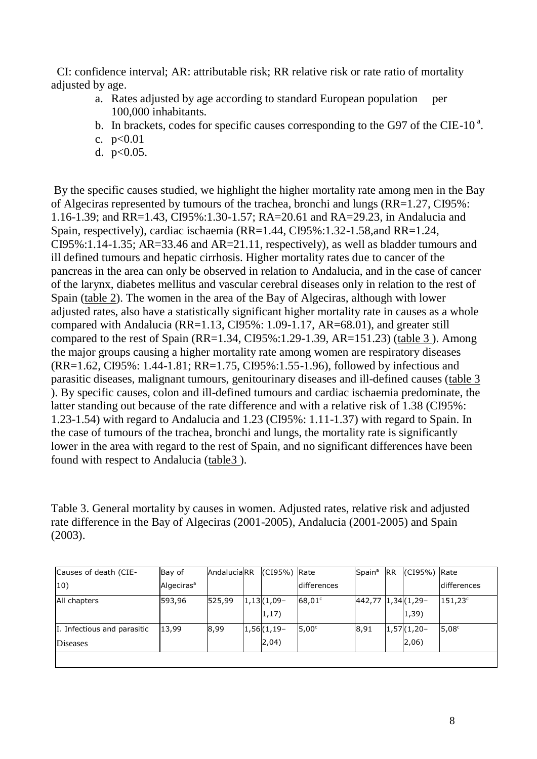CI: confidence interval; AR: attributable risk; RR relative risk or rate ratio of mortality adjusted by age.

- a. Rates adjusted by age according to standard European population per 100,000 inhabitants.
- b. In brackets, codes for specific causes corresponding to the G97 of the CIE-10 $^{\circ}$ .
- c.  $p<0.01$
- d. p<0.05.

By the specific causes studied, we highlight the higher mortality rate among men in the Bay of Algeciras represented by tumours of the trachea, bronchi and lungs (RR=1.27, CI95%: 1.16-1.39; and RR=1.43, CI95%:1.30-1.57; RA=20.61 and RA=29.23, in Andalucia and Spain, respectively), cardiac ischaemia (RR=1.44, CI95%:1.32-1.58,and RR=1.24, CI95%:1.14-1.35; AR=33.46 and AR=21.11, respectively), as well as bladder tumours and ill defined tumours and hepatic cirrhosis. Higher mortality rates due to cancer of the pancreas in the area can only be observed in relation to Andalucia, and in the case of cancer of the larynx, diabetes mellitus and vascular cerebral diseases only in relation to the rest of Spain (table 2). The women in the area of the Bay of Algeciras, although with lower adjusted rates, also have a statistically significant higher mortality rate in causes as a whole compared with Andalucia (RR=1.13, CI95%: 1.09-1.17, AR=68.01), and greater still compared to the rest of Spain (RR=1.34, CI95%:1.29-1.39, AR=151.23) (table 3 ). Among the major groups causing a higher mortality rate among women are respiratory diseases (RR=1.62, CI95%: 1.44-1.81; RR=1.75, CI95%:1.55-1.96), followed by infectious and parasitic diseases, malignant tumours, genitourinary diseases and ill-defined causes (table 3 ). By specific causes, colon and ill-defined tumours and cardiac ischaemia predominate, the latter standing out because of the rate difference and with a relative risk of 1.38 (CI95%: 1.23-1.54) with regard to Andalucia and 1.23 (CI95%: 1.11-1.37) with regard to Spain. In the case of tumours of the trachea, bronchi and lungs, the mortality rate is significantly lower in the area with regard to the rest of Spain, and no significant differences have been found with respect to Andalucia (table3 ).

Table 3. General mortality by causes in women. Adjusted rates, relative risk and adjusted rate difference in the Bay of Algeciras (2001-2005), Andalucia (2001-2005) and Spain (2003).

| Causes of death (CIE-       | Bay of                 | AndalucíaRR | $(CI95%)$ Rate |                   | Spain <sup>a</sup>  | <b>IRR</b> | $(CI95%)$ Rate    |                    |
|-----------------------------|------------------------|-------------|----------------|-------------------|---------------------|------------|-------------------|--------------------|
| 10)                         | Algeciras <sup>a</sup> |             |                | differences       |                     |            |                   | <b>differences</b> |
| All chapters                | 593,96                 | 525,99      | $1,13(1,09-$   | $68,01^{\circ}$   | 442,77 1,34 (1,29 - |            |                   | $151,23^{\circ}$   |
|                             |                        |             | $ 1,17\rangle$ |                   |                     |            | $ 1,39\rangle$    |                    |
| I. Infectious and parasitic | 13.99                  | 8,99        | $1,56(1,19-$   | 5.00 <sup>c</sup> | 8,91                |            | $ 1,57 $ $(1,20-$ | $5,08^{\circ}$     |
| <b>Diseases</b>             |                        |             | 2,04)          |                   |                     |            | $ 2,06\rangle$    |                    |
|                             |                        |             |                |                   |                     |            |                   |                    |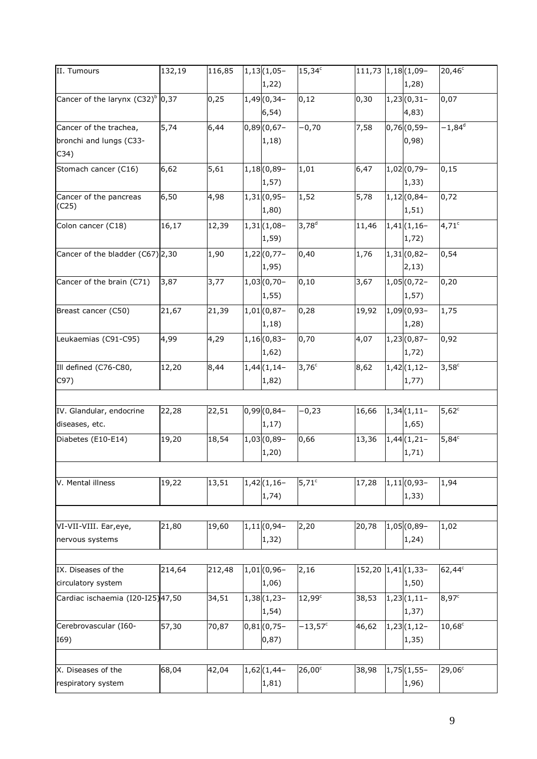| II. Tumours                               | 132,19 | 116,85 | $1,13(1,05-$          | $15,34^c$          | 111,73 1,18 (1,09- |                       | $20,46^{\circ}$ |
|-------------------------------------------|--------|--------|-----------------------|--------------------|--------------------|-----------------------|-----------------|
|                                           |        |        | 1,22)                 |                    |                    | 1,28)                 |                 |
| Cancer of the larynx $(C32)^{6}$ 0,37     |        | 0,25   | $1,49(0,34-$          | 0,12               | 0, 30              | $1,23(0,31-$          | 0,07            |
|                                           |        |        | 6, 54)                |                    |                    | 4,83)                 |                 |
| Cancer of the trachea,                    | 5,74   | 6,44   | $0,89(0,67-$          | $-0,70$            | 7,58               | $0,76(0,59-$          | $-1,84^d$       |
| bronchi and lungs (C33-                   |        |        | 1,18)                 |                    |                    | 0,98)                 |                 |
| C34)                                      |        |        |                       |                    |                    |                       |                 |
| Stomach cancer (C16)                      | 6,62   | 5,61   | $1,18(0,89-$          | 1,01               | 6,47               | $1,02(0,79-$          | 0, 15           |
|                                           |        |        | 1,57)                 |                    |                    | 1,33)                 |                 |
| Cancer of the pancreas                    | 6,50   | 4,98   | $1,31(0,95-$          | 1,52               | 5,78               | $1,12(0,84-$          | 0,72            |
| (C25)                                     |        |        | 1,80)                 |                    |                    | 1, 51)                |                 |
| Colon cancer (C18)                        | 16,17  | 12,39  | $1,31(1,08-$          | $3,78^{d}$         | 11,46              | $1,41$ (1,16-         | $4,71^{\circ}$  |
|                                           |        |        | 1,59)                 |                    |                    | 1,72)                 |                 |
| Cancer of the bladder (C67) 2,30          |        | 1,90   | $1,22(0,77-$          | 0,40               | 1,76               | $1,31(0,82-$          | 0,54            |
|                                           |        |        | 1,95)                 |                    |                    | 2,13)                 |                 |
| Cancer of the brain (C71)                 | 3,87   | 3,77   | $1,03(0,70-$          | 0, 10              | 3,67               | $1,05(0,72-$          | 0,20            |
|                                           |        |        | 1,55)                 |                    |                    | 1,57)                 |                 |
| Breast cancer (C50)                       | 21,67  | 21,39  | $1,01(0,87 -$         | 0,28               | 19,92              | $1,09(0,93 -$         | 1,75            |
|                                           |        |        | 1,18)                 |                    |                    | 1,28)                 |                 |
| Leukaemias (C91-C95)                      | 4,99   | 4,29   | $1,16(0,83-$          | 0,70               | 4,07               | $1,23(0,87-$          | 0,92            |
|                                           |        |        | 1,62)                 |                    |                    | 1,72)                 |                 |
| Ill defined (C76-C80,                     | 12,20  | 8,44   | $1,44(1,14-$          | $3,76^{\circ}$     | 8,62               | $1,42(1,12-$          | $3,58^{\circ}$  |
| C97)                                      |        |        | 1,82)                 |                    |                    | 1,77)                 |                 |
|                                           |        |        |                       |                    |                    |                       |                 |
| IV. Glandular, endocrine                  | 22,28  | 22,51  | $0,99(0,84 -$         | $-0,23$            | 16,66              | $1,34(1,11-$          | $5,62^{\circ}$  |
| diseases, etc.                            |        |        | 1, 17)                |                    |                    | 1,65)                 |                 |
| Diabetes (E10-E14)                        | 19,20  | 18,54  | $1,03(0,89-$          | 0,66               | 13,36              | $1,44(1,21-$          | $5,84^{\circ}$  |
|                                           |        |        | 1,20)                 |                    |                    | 1,71)                 |                 |
|                                           |        |        |                       |                    |                    |                       |                 |
| V. Mental illness                         | 19,22  | 13,51  | $1,42(1,16-$          | $5,71^{\circ}$     | 17,28              | $1,11(0,93-$          | 1,94            |
|                                           |        |        | 1,74)                 |                    |                    | 1,33)                 |                 |
|                                           |        |        |                       |                    |                    |                       |                 |
|                                           | 21,80  | 19,60  | $1,11(0,94-$          | 2,20               | 20,78              | $1,05(0,89-$          | 1,02            |
| VI-VII-VIII. Ear, eye,<br>nervous systems |        |        | 1,32)                 |                    |                    | 1,24)                 |                 |
|                                           |        |        |                       |                    |                    |                       |                 |
|                                           |        |        |                       |                    |                    |                       |                 |
| IX. Diseases of the                       | 214,64 | 212,48 | $1,01(0,96 -$         | 2,16               | 152,20 1,41 (1,33- |                       | $62,44^c$       |
| circulatory system                        |        |        | 1,06)                 |                    |                    | 1,50)                 |                 |
| Cardiac ischaemia (I20-I25) 47,50         |        | 34,51  | $1,38(1,23-$<br>1,54) | 12,99 <sup>c</sup> | 38,53              | $1,23(1,11-$<br>1,37) | $8,97^{\circ}$  |
| Cerebrovascular (160-                     | 57,30  | 70,87  | $0,81(0,75 -$         | $-13,57^c$         | 46,62              | $1,23(1,12-$          | $10,68^{\circ}$ |
| I69)                                      |        |        | 0,87)                 |                    |                    | 1,35)                 |                 |
|                                           |        |        |                       |                    |                    |                       |                 |
| X. Diseases of the                        | 68,04  | 42,04  | $1,62(1,44-$          | $26,00^{\circ}$    | 38,98              | $1,75(1,55-$          | $29,06^c$       |
| respiratory system                        |        |        | 1,81)                 |                    |                    | 1,96)                 |                 |
|                                           |        |        |                       |                    |                    |                       |                 |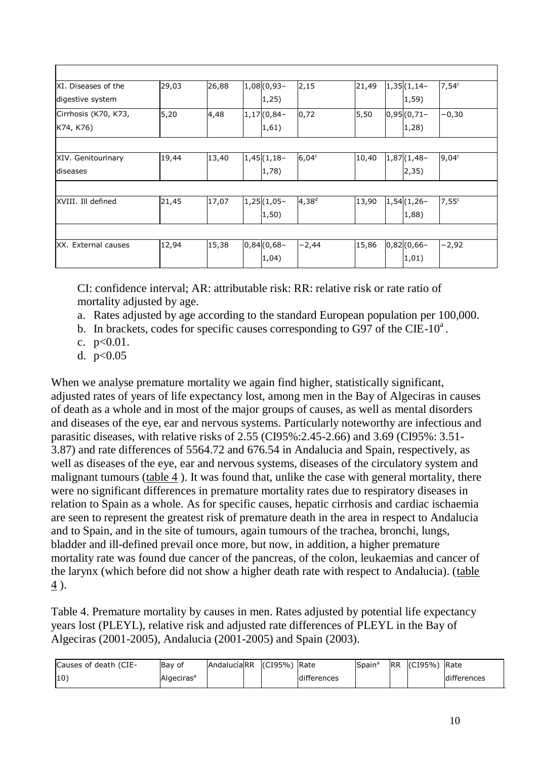| XI. Diseases of the  | 29,03 | 26,88 | $1,08(0,93 -$     | 2,15       | 21,49 | $1,35(1,14-$  | $7,54^c$       |
|----------------------|-------|-------|-------------------|------------|-------|---------------|----------------|
| digestive system     |       |       | 1,25)             |            |       | 1,59)         |                |
| Cirrhosis (K70, K73, | 5,20  | 4,48  | $ 1,17 $ $(0,84-$ | 0,72       | 5,50  | $0,95(0,71-$  | $-0,30$        |
| K74, K76)            |       |       | 1,61)             |            |       | 1,28)         |                |
|                      |       |       |                   |            |       |               |                |
| XIV. Genitourinary   | 19,44 | 13,40 | $1,45(1,18-$      | $6,04^c$   | 10,40 | $1,87(1,48-$  | $9,04^{\circ}$ |
| diseases             |       |       | $ 1,78\rangle$    |            |       | 2,35)         |                |
|                      |       |       |                   |            |       |               |                |
| XVIII. Ill defined   | 21,45 | 17,07 | $1,25(1,05-$      | $4,38^{d}$ | 13,90 | $1,54(1,26-$  | $7,55^{\circ}$ |
|                      |       |       | $ 1, 50\rangle$   |            |       | 1,88)         |                |
|                      |       |       |                   |            |       |               |                |
| XX. External causes  | 12,94 | 15,38 | $0,84(0,68-$      | $-2,44$    | 15,86 | $0,82(0,66 -$ | -2,92          |
|                      |       |       | 1,04)             |            |       | 1,01)         |                |

CI: confidence interval; AR: attributable risk: RR: relative risk or rate ratio of mortality adjusted by age.

- a. Rates adjusted by age according to the standard European population per 100,000.
- b. In brackets, codes for specific causes corresponding to G97 of the CIE-10<sup>a</sup>.
- c. p<0.01.
- d. p<0.05

When we analyse premature mortality we again find higher, statistically significant, adjusted rates of years of life expectancy lost, among men in the Bay of Algeciras in causes of death as a whole and in most of the major groups of causes, as well as mental disorders and diseases of the eye, ear and nervous systems. Particularly noteworthy are infectious and parasitic diseases, with relative risks of 2.55 (CI95%:2.45-2.66) and 3.69 (CI95%: 3.51- 3.87) and rate differences of 5564.72 and 676.54 in Andalucia and Spain, respectively, as well as diseases of the eye, ear and nervous systems, diseases of the circulatory system and malignant tumours (table 4 ). It was found that, unlike the case with general mortality, there were no significant differences in premature mortality rates due to respiratory diseases in relation to Spain as a whole. As for specific causes, hepatic cirrhosis and cardiac ischaemia are seen to represent the greatest risk of premature death in the area in respect to Andalucia and to Spain, and in the site of tumours, again tumours of the trachea, bronchi, lungs, bladder and ill-defined prevail once more, but now, in addition, a higher premature mortality rate was found due cancer of the pancreas, of the colon, leukaemias and cancer of the larynx (which before did not show a higher death rate with respect to Andalucia). (table  $\leq$ ).

Table 4. Premature mortality by causes in men. Rates adjusted by potential life expectancy years lost (PLEYL), relative risk and adjusted rate differences of PLEYL in the Bay of Algeciras (2001-2005), Andalucia (2001-2005) and Spain (2003).

| Causes of death (CIE- | Bay of                 | AndalucíalRR | I(CI95%) Rate |             | Spain | <b>IRR</b> | (CI95%) | Rate        |
|-----------------------|------------------------|--------------|---------------|-------------|-------|------------|---------|-------------|
| $ 10\rangle$          | Algeciras <sup>a</sup> |              |               | differences |       |            |         | differences |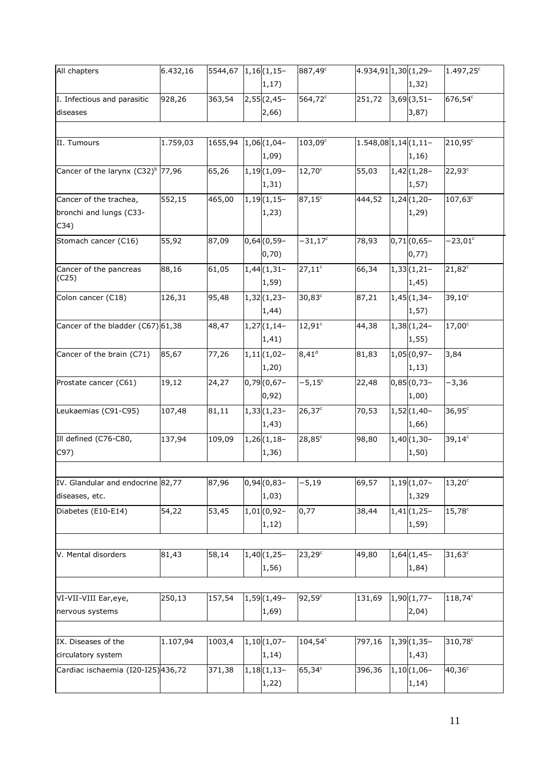| All chapters                         | 6.432,16 | 5544,67 1,16 (1,15 - |               | 887,49 <sup>c</sup> | 4.934,91 1,30 (1,29-      |               | $1.497,25^c$       |
|--------------------------------------|----------|----------------------|---------------|---------------------|---------------------------|---------------|--------------------|
|                                      |          |                      | 1, 17)        |                     |                           | 1,32)         |                    |
| I. Infectious and parasitic          | 928,26   | 363,54               | $2,55(2,45-$  | 564,72 <sup>c</sup> | 251,72                    | $3,69(3,51-$  | 676,54°            |
| diseases                             |          |                      | 2,66)         |                     |                           | 3,87)         |                    |
|                                      |          |                      |               |                     |                           |               |                    |
| II. Tumours                          | 1.759,03 | 1655,94              | $1,06(1,04-$  | $103,09^{\circ}$    | $1.548,08$ 1, 14 (1, 11 - |               | $210,95^\circ$     |
|                                      |          |                      | 1,09)         |                     |                           | 1,16)         |                    |
|                                      |          |                      |               |                     |                           |               |                    |
| Cancer of the larynx $(C32)^b$ 77,96 |          | 65,26                | $1,19(1,09-$  | $12,70^{\circ}$     | 55,03                     | $1,42(1,28-$  | 22,93 <sup>c</sup> |
|                                      |          |                      | 1,31)         |                     |                           | 1,57)         |                    |
| Cancer of the trachea,               | 552,15   | 465,00               | $1,19(1,15-$  | $87,15^{\circ}$     | 444,52                    | $1,24(1,20-$  | $107,63^\circ$     |
| bronchi and lungs (C33-              |          |                      | 1,23)         |                     |                           | 1,29)         |                    |
| C34)                                 |          |                      |               |                     |                           |               |                    |
| Stomach cancer (C16)                 | 55,92    | 87,09                | $0,64(0,59-$  | $-31,17^c$          | 78,93                     | $0,71(0,65 -$ | $-23,01^{\circ}$   |
|                                      |          |                      | 0,70)         |                     |                           | 0,77)         |                    |
| Cancer of the pancreas               | 88,16    | 61,05                | $1,44(1,31-$  | $27,11^c$           | 66,34                     | $1,33(1,21-$  | $21,82^c$          |
| (C25)                                |          |                      | 1,59)         |                     |                           | 1,45)         |                    |
| Colon cancer (C18)                   | 126,31   | 95,48                | $1,32(1,23-$  | $30,83^c$           | 87,21                     | $1,45(1,34-$  | $39,10^{\circ}$    |
|                                      |          |                      | 1,44)         |                     |                           | 1,57)         |                    |
| Cancer of the bladder (C67) 61,38    |          | 48,47                | $1,27(1,14-$  | 12,91°              | 44,38                     | $1,38(1,24-$  | $17,00^{\circ}$    |
|                                      |          |                      | 1,41)         |                     |                           | 1,55)         |                    |
| Cancer of the brain (C71)            | 85,67    | 77,26                | $1,11(1,02-$  | $8,41^d$            | 81,83                     | $1,05(0,97 -$ | 3,84               |
|                                      |          |                      | 1,20)         |                     |                           | 1, 13)        |                    |
| Prostate cancer (C61)                | 19,12    | 24,27                | $0,79(0,67-$  | $-5,15^{\circ}$     | 22,48                     | $0,85(0,73 -$ | $-3,36$            |
|                                      |          |                      | 0,92)         |                     |                           | 1,00)         |                    |
| Leukaemias (C91-C95)                 | 107,48   | 81,11                | $1,33(1,23-$  | $26,37^c$           | 70,53                     | $1,52(1,40-$  | $36,95^{\circ}$    |
|                                      |          |                      | 1,43)         |                     |                           | 1,66)         |                    |
|                                      |          |                      |               |                     |                           |               |                    |
| Ill defined (C76-C80,                | 137,94   | 109,09               | $1,26(1,18-$  | $28,85^c$           | 98,80                     | $1,40(1,30-$  | $39,14^c$          |
| C97)                                 |          |                      | 1,36)         |                     |                           | 1,50)         |                    |
|                                      |          |                      |               |                     |                           |               |                    |
| IV. Glandular and endocrine 82,77    |          | 87,96                | $0,94(0,83 -$ | $-5,19$             | 69,57                     | $1,19(1,07-$  | $13,20^{\circ}$    |
| diseases, etc.                       |          |                      | 1,03)         |                     |                           | 1,329         |                    |
| Diabetes (E10-E14)                   | 54,22    | 53,45                | $1,01(0,92 -$ | 0,77                | 38,44                     | $1,41(1,25-$  | $15,78^{\circ}$    |
|                                      |          |                      | 1,12)         |                     |                           | 1,59)         |                    |
|                                      |          |                      |               |                     |                           |               |                    |
| V. Mental disorders                  | 81,43    | 58,14                | $1,40(1,25-$  | $23,29^c$           | 49,80                     | $1,64(1,45-$  | $31,63^c$          |
|                                      |          |                      | 1,56)         |                     |                           | 1,84)         |                    |
|                                      |          |                      |               |                     |                           |               |                    |
| VI-VII-VIII Ear, eye,                | 250,13   | 157,54               | $1,59(1,49-$  | $92,59^{\circ}$     | 131,69                    | $1,90(1,77 -$ | 118,74°            |
| nervous systems                      |          |                      | 1,69)         |                     |                           | 2,04)         |                    |
|                                      |          |                      |               |                     |                           |               |                    |
|                                      |          |                      |               |                     |                           |               |                    |
| IX. Diseases of the                  | 1.107,94 | 1003,4               | $1,10(1,07-$  | $104,54^c$          | 797,16                    | $1,39(1,35-$  | 310,78°            |
| circulatory system                   |          |                      | 1, 14)        |                     |                           | 1,43)         |                    |
| Cardiac ischaemia (I20-I25) 436,72   |          | 371,38               | $1,18(1,13-$  | $65,34^c$           | 396,36                    | $1,10(1,06-$  | $40,36^{\circ}$    |
|                                      |          |                      | 1,22)         |                     |                           | 1, 14)        |                    |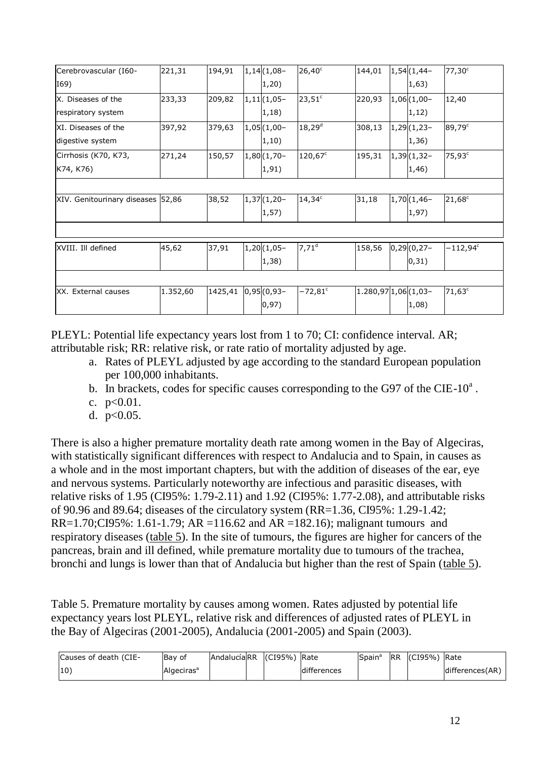| Cerebrovascular (160-             | 221,31   | 194,91              | $1,14(1,08-$  | $26,40^{\circ}$       | 144,01                 | $ 1,54 $ $(1,44-$ | $77,30^{\circ}$    |
|-----------------------------------|----------|---------------------|---------------|-----------------------|------------------------|-------------------|--------------------|
| I69)                              |          |                     | 1,20)         |                       |                        | 1,63)             |                    |
| X. Diseases of the                | 233,33   | 209,82              | $1,11(1,05-$  | $23,51^c$             | 220,93                 | $1,06(1,00-$      | 12,40              |
| respiratory system                |          |                     | 1,18)         |                       |                        | 1,12)             |                    |
| XI. Diseases of the               | 397,92   | 379,63              | $1,05(1,00-$  | $18,29^{d}$           | 308,13                 | $1,29(1,23-$      | $89,79^{\circ}$    |
| digestive system                  |          |                     | 1,10)         |                       |                        | 1,36)             |                    |
| Cirrhosis (K70, K73,              | 271,24   | 150,57              | $1,80(1,70 -$ | $120,67^c$            | 195,31                 | $1,39(1,32-$      | 75,93 <sup>c</sup> |
| K74, K76)                         |          |                     | 1, 91)        |                       |                        | 1,46)             |                    |
|                                   |          |                     |               |                       |                        |                   |                    |
| XIV. Genitourinary diseases 52,86 |          | 38,52               | $1,37(1,20-$  | $14,34^c$             | 31,18                  | $1,70(1,46-$      | $21,68^{\circ}$    |
|                                   |          |                     | 1,57)         |                       |                        | 1,97)             |                    |
|                                   |          |                     |               |                       |                        |                   |                    |
| XVIII. Ill defined                | 45,62    | 37,91               | $1,20(1,05-$  | $7,71^d$              | 158,56                 | $0,29(0,27 -$     | $-112,94^\circ$    |
|                                   |          |                     | 1,38)         |                       |                        | 0,31)             |                    |
|                                   |          |                     |               |                       |                        |                   |                    |
| XX. External causes               | 1.352,60 | 1425,41 0,95 (0,93- |               | $-72,81$ <sup>c</sup> | $1.280,97$ 1,06 (1,03- |                   | $71,63^c$          |
|                                   |          |                     | 0, 97)        |                       |                        | 1,08)             |                    |

PLEYL: Potential life expectancy years lost from 1 to 70; CI: confidence interval. AR; attributable risk; RR: relative risk, or rate ratio of mortality adjusted by age.

- a. Rates of PLEYL adjusted by age according to the standard European population per 100,000 inhabitants.
- b. In brackets, codes for specific causes corresponding to the G97 of the CIE-10 $^{\circ}$ .
- c. p<0.01.
- d. p<0.05.

There is also a higher premature mortality death rate among women in the Bay of Algeciras, with statistically significant differences with respect to Andalucia and to Spain, in causes as a whole and in the most important chapters, but with the addition of diseases of the ear, eye and nervous systems. Particularly noteworthy are infectious and parasitic diseases, with relative risks of 1.95 (CI95%: 1.79-2.11) and 1.92 (CI95%: 1.77-2.08), and attributable risks of 90.96 and 89.64; diseases of the circulatory system (RR=1.36, CI95%: 1.29-1.42; RR=1.70;CI95%: 1.61-1.79; AR =116.62 and AR =182.16); malignant tumours and respiratory diseases (table 5). In the site of tumours, the figures are higher for cancers of the pancreas, brain and ill defined, while premature mortality due to tumours of the trachea, bronchi and lungs is lower than that of Andalucia but higher than the rest of Spain (table 5).

Table 5. Premature mortality by causes among women. Rates adjusted by potential life expectancy years lost PLEYL, relative risk and differences of adjusted rates of PLEYL in the Bay of Algeciras (2001-2005), Andalucia (2001-2005) and Spain (2003).

| Causes of death (CIE- | Bay of                 | AndalucíaRR | (CI95%) Rate |             | Spain <sup>a</sup> | <b>IRR</b> | (CI95%) | Rate            |
|-----------------------|------------------------|-------------|--------------|-------------|--------------------|------------|---------|-----------------|
| $ 10\rangle$          | Algeciras <sup>ª</sup> |             |              | differences |                    |            |         | differences(AR) |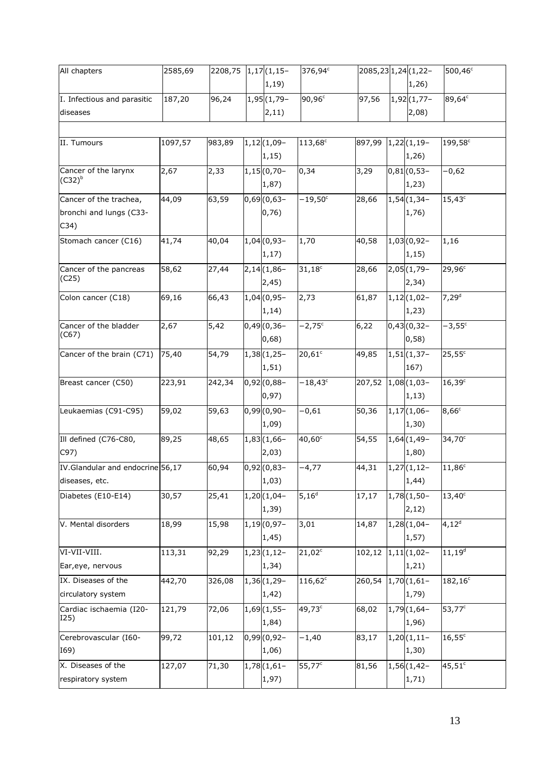| All chapters                     | 2585,69 | 2208,75 | $1,17(1,15-$  | 376,94°             |        | 2085, 23 1, 24 (1, 22 - | 500,46°             |
|----------------------------------|---------|---------|---------------|---------------------|--------|-------------------------|---------------------|
|                                  |         |         | 1, 19)        |                     |        | 1,26)                   |                     |
| I. Infectious and parasitic      | 187,20  | 96,24   | $1,95(1,79-$  | 90,96 <sup>c</sup>  | 97,56  | $1,92(1,77-$            | 89,64°              |
| diseases                         |         |         | 2,11)         |                     |        | 2,08)                   |                     |
|                                  |         |         |               |                     |        |                         |                     |
| II. Tumours                      | 1097,57 | 983,89  | $1,12(1,09-$  | 113,68 <sup>c</sup> | 897,99 | $1,22(1,19-$            | 199,58 <sup>c</sup> |
|                                  |         |         | 1, 15)        |                     |        | 1,26)                   |                     |
| Cancer of the larynx             | 2,67    | 2,33    | $1,15(0,70-$  | 0,34                | 3,29   | $0,81(0,53-$            | $-0,62$             |
| $(C32)^b$                        |         |         | 1,87)         |                     |        | 1,23)                   |                     |
| Cancer of the trachea,           | 44,09   | 63,59   | $0,69(0,63 -$ | $-19,50^{\circ}$    | 28,66  | $1,54(1,34-$            | $15,43^c$           |
| bronchi and lungs (C33-          |         |         | 0,76)         |                     |        | 1,76)                   |                     |
| C34)                             |         |         |               |                     |        |                         |                     |
| Stomach cancer (C16)             | 41,74   | 40,04   | $1,04(0,93 -$ | 1,70                | 40,58  | $1,03(0,92-$            | 1,16                |
|                                  |         |         | 1, 17)        |                     |        | 1, 15)                  |                     |
| Cancer of the pancreas           | 58,62   | 27,44   | $2,14(1,86-$  | $31,18^c$           | 28,66  | $2,05(1,79-$            | $29,96^c$           |
| (C25)                            |         |         | 2,45)         |                     |        | 2,34)                   |                     |
| Colon cancer (C18)               | 69,16   | 66,43   | $1,04(0,95 -$ | 2,73                | 61,87  | $1,12(1,02-$            | 7,29 <sup>d</sup>   |
|                                  |         |         | 1, 14)        |                     |        | 1,23)                   |                     |
| Cancer of the bladder            | 2,67    | 5,42    | $0,49(0,36 -$ | $-2,75^{\circ}$     | 6,22   | $0,43(0,32 -$           | $-3,55^{\circ}$     |
| (C67)                            |         |         | 0,68)         |                     |        | 0,58)                   |                     |
|                                  | 75,40   |         | $1,38(1,25-$  | $20,61^{\circ}$     | 49,85  | $1,51(1,37-$            | $25,55^{\circ}$     |
| Cancer of the brain (C71)        |         | 54,79   | 1, 51)        |                     |        | 167)                    |                     |
|                                  |         |         |               |                     |        |                         |                     |
| Breast cancer (C50)              | 223,91  | 242,34  | $0,92(0,88 -$ | $-18,43^c$          | 207,52 | $1,08(1,03-$            | 16,39c              |
|                                  |         |         | 0,97)         |                     |        | 1, 13)                  |                     |
| Leukaemias (C91-C95)             | 59,02   | 59,63   | $0,99(0,90 -$ | $-0,61$             | 50,36  | $1,17(1,06-$            | $8,66^c$            |
|                                  |         |         | 1,09)         |                     |        | 1,30)                   |                     |
| Ill defined (C76-C80,            | 89,25   | 48,65   | $1,83(1,66-$  | $40,60^{\circ}$     | 54,55  | $1,64(1,49-$            | $34,70^{\circ}$     |
| C97)                             |         |         | 2,03)         |                     |        | 1,80)                   |                     |
| IV.Glandular and endocrine 56,17 |         | 60,94   | $0,92(0,83 -$ | $-4,77$             | 44,31  | $1,27(1,12-$            | $11,86^c$           |
| diseases, etc.                   |         |         | 1,03)         |                     |        | 1,44)                   |                     |
| Diabetes (E10-E14)               | 30,57   | 25,41   | $1,20(1,04-$  | $5,16^d$            | 17,17  | $1,78(1,50-$            | $13,40^{\circ}$     |
|                                  |         |         | 1,39)         |                     |        | 2,12)                   |                     |
| V. Mental disorders              | 18,99   | 15,98   | $1,19(0,97 -$ | 3,01                | 14,87  | $1,28(1,04-$            | 4,12 <sup>d</sup>   |
|                                  |         |         | 1,45)         |                     |        | 1,57)                   |                     |
| VI-VII-VIII.                     | 113,31  | 92,29   | $1,23(1,12-$  | $21,02^c$           | 102,12 | $1,11(1,02-$            | $11, 19^d$          |
| Ear, eye, nervous                |         |         | 1,34)         |                     |        | 1,21)                   |                     |
| IX. Diseases of the              | 442,70  | 326,08  | $1,36(1,29-$  | $116,62^c$          | 260,54 | $1,70(1,61-$            | $182, 16^c$         |
| circulatory system               |         |         | 1,42)         |                     |        | 1,79)                   |                     |
| Cardiac ischaemia (I20-          | 121,79  | 72,06   | $1,69(1,55-$  | 49,73°              | 68,02  | $1,79(1,64-$            | $53,77^c$           |
| I25)                             |         |         | 1,84)         |                     |        | 1,96)                   |                     |
| Cerebrovascular (I60-            | 99,72   | 101,12  | $0,99(0,92 -$ | $-1,40$             | 83,17  | $1,20(1,11-$            | $16,55^{\circ}$     |
| I69)                             |         |         | 1,06)         |                     |        | 1,30)                   |                     |
| X. Diseases of the               | 127,07  | 71,30   | $1,78(1,61-$  | 55,77 <sup>c</sup>  | 81,56  | $1,56(1,42-$            | $45,51^c$           |
| respiratory system               |         |         | 1,97)         |                     |        | 1,71)                   |                     |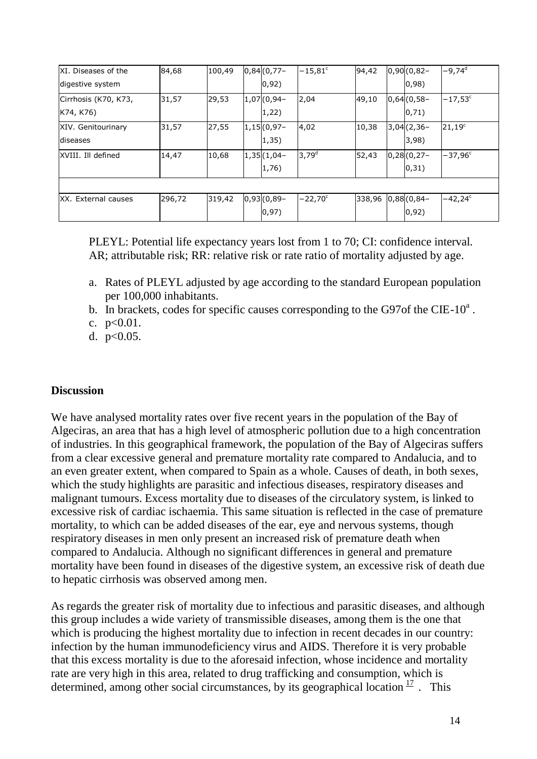| XI. Diseases of the  | 84,68  | 100,49 | $0,84(0,77 -$     | $-15,81$ <sup>c</sup> | 94,42  | $0,90(0,82 -$  | $-9,74d$         |
|----------------------|--------|--------|-------------------|-----------------------|--------|----------------|------------------|
| digestive system     |        |        | 0,92)             |                       |        | (0, 98)        |                  |
| Cirrhosis (K70, K73, | 31,57  | 29,53  | $ 1,07 $ $(0,94-$ | 2,04                  | 49,10  | $0,64(0,58-$   | $-17,53^{\circ}$ |
| K74, K76)            |        |        | 1,22)             |                       |        | $ 0,71\rangle$ |                  |
| XIV. Genitourinary   | 31,57  | 27,55  | $1,15(0,97-$      | 4,02                  | 10,38  | $3,04(2,36 -$  | $21,19^c$        |
| <b>diseases</b>      |        |        | 1,35)             |                       |        | 3,98)          |                  |
| XVIII. Ill defined   | 14,47  | 10,68  | $ 1,35 $ $(1,04-$ | 3,79 <sup>d</sup>     | 52,43  | $0,28(0,27-$   | $-37,96^{\circ}$ |
|                      |        |        | 1,76)             |                       |        | $ 0,31\rangle$ |                  |
|                      |        |        |                   |                       |        |                |                  |
| XX. External causes  | 296,72 | 319,42 | $0,93(0,89-$      | $-22,70^{\circ}$      | 338,96 | $0,88(0,84-$   | $-42,24^{\circ}$ |
|                      |        |        | 0,97)             |                       |        | 0,92)          |                  |

PLEYL: Potential life expectancy years lost from 1 to 70; CI: confidence interval. AR; attributable risk; RR: relative risk or rate ratio of mortality adjusted by age.

- a. Rates of PLEYL adjusted by age according to the standard European population per 100,000 inhabitants.
- b. In brackets, codes for specific causes corresponding to the G97of the CIE-10 $\textdegree$ .

c.  $p<0.01$ .

d. p<0.05.

## **Discussion**

We have analysed mortality rates over five recent years in the population of the Bay of Algeciras, an area that has a high level of atmospheric pollution due to a high concentration of industries. In this geographical framework, the population of the Bay of Algeciras suffers from a clear excessive general and premature mortality rate compared to Andalucia, and to an even greater extent, when compared to Spain as a whole. Causes of death, in both sexes, which the study highlights are parasitic and infectious diseases, respiratory diseases and malignant tumours. Excess mortality due to diseases of the circulatory system, is linked to excessive risk of cardiac ischaemia. This same situation is reflected in the case of premature mortality, to which can be added diseases of the ear, eye and nervous systems, though respiratory diseases in men only present an increased risk of premature death when compared to Andalucia. Although no significant differences in general and premature mortality have been found in diseases of the digestive system, an excessive risk of death due to hepatic cirrhosis was observed among men.

As regards the greater risk of mortality due to infectious and parasitic diseases, and although this group includes a wide variety of transmissible diseases, among them is the one that which is producing the highest mortality due to infection in recent decades in our country: infection by the human immunodeficiency virus and AIDS. Therefore it is very probable that this excess mortality is due to the aforesaid infection, whose incidence and mortality rate are very high in this area, related to drug trafficking and consumption, which is determined, among other social circumstances, by its geographical location  $\frac{17}{1}$ . This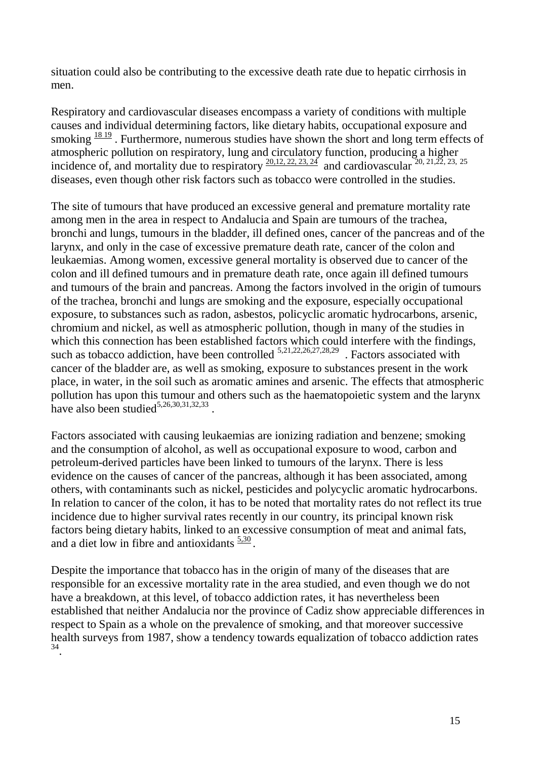situation could also be contributing to the excessive death rate due to hepatic cirrhosis in men.

Respiratory and cardiovascular diseases encompass a variety of conditions with multiple causes and individual determining factors, like dietary habits, occupational exposure and smoking  $\frac{1819}{2}$ . Furthermore, numerous studies have shown the short and long term effects of atmospheric pollution on respiratory, lung and circulatory function, producing a higher incidence of, and mortality due to respiratory  $\frac{20,12,22,23,24}{20}$  and cardiovascular  $\frac{20,21,22,23,25}{20}$ diseases, even though other risk factors such as tobacco were controlled in the studies.

The site of tumours that have produced an excessive general and premature mortality rate among men in the area in respect to Andalucia and Spain are tumours of the trachea, bronchi and lungs, tumours in the bladder, ill defined ones, cancer of the pancreas and of the larynx, and only in the case of excessive premature death rate, cancer of the colon and leukaemias. Among women, excessive general mortality is observed due to cancer of the colon and ill defined tumours and in premature death rate, once again ill defined tumours and tumours of the brain and pancreas. Among the factors involved in the origin of tumours of the trachea, bronchi and lungs are smoking and the exposure, especially occupational exposure, to substances such as radon, asbestos, policyclic aromatic hydrocarbons, arsenic, chromium and nickel, as well as atmospheric pollution, though in many of the studies in which this connection has been established factors which could interfere with the findings, such as tobacco addiction, have been controlled  $5,21,22,26,27,28,29$ . Factors associated with cancer of the bladder are, as well as smoking, exposure to substances present in the work place, in water, in the soil such as aromatic amines and arsenic. The effects that atmospheric pollution has upon this tumour and others such as the haematopoietic system and the larynx have also been studied<sup>5,26,30,31,32,33</sup>.

Factors associated with causing leukaemias are ionizing radiation and benzene; smoking and the consumption of alcohol, as well as occupational exposure to wood, carbon and petroleum-derived particles have been linked to tumours of the larynx. There is less evidence on the causes of cancer of the pancreas, although it has been associated, among others, with contaminants such as nickel, pesticides and polycyclic aromatic hydrocarbons. In relation to cancer of the colon, it has to be noted that mortality rates do not reflect its true incidence due to higher survival rates recently in our country, its principal known risk factors being dietary habits, linked to an excessive consumption of meat and animal fats, and a diet low in fibre and antioxidants  $\frac{5.30}{ }$ .

Despite the importance that tobacco has in the origin of many of the diseases that are responsible for an excessive mortality rate in the area studied, and even though we do not have a breakdown, at this level, of tobacco addiction rates, it has nevertheless been established that neither Andalucia nor the province of Cadiz show appreciable differences in respect to Spain as a whole on the prevalence of smoking, and that moreover successive health surveys from 1987, show a tendency towards equalization of tobacco addiction rates 34 .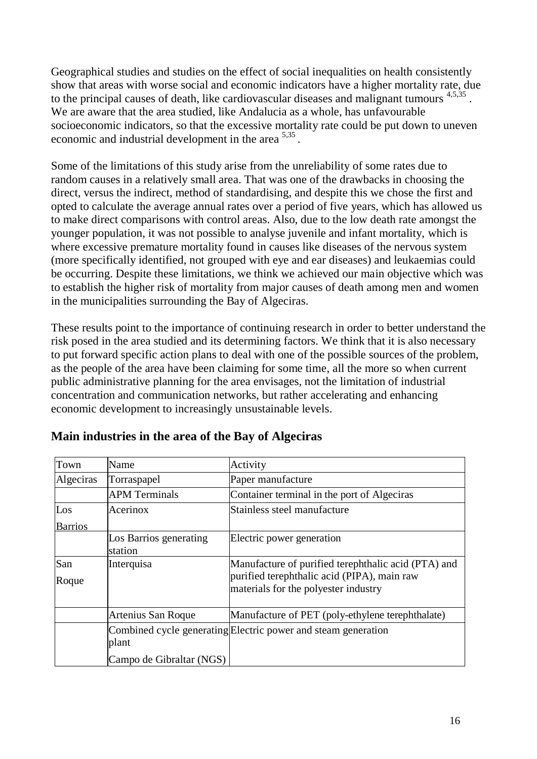Geographical studies and studies on the effect of social inequalities on health consistently show that areas with worse social and economic indicators have a higher mortality rate, due to the principal causes of death, like cardiovascular diseases and malignant tumours  $4,5,35$ . We are aware that the area studied, like Andalucia as a whole, has unfavourable socioeconomic indicators, so that the excessive mortality rate could be put down to uneven economic and industrial development in the area  $5,35$ .

Some of the limitations of this study arise from the unreliability of some rates due to random causes in a relatively small area. That was one of the drawbacks in choosing the direct, versus the indirect, method of standardising, and despite this we chose the first and opted to calculate the average annual rates over a period of five years, which has allowed us to make direct comparisons with control areas. Also, due to the low death rate amongst the younger population, it was not possible to analyse juvenile and infant mortality, which is where excessive premature mortality found in causes like diseases of the nervous system (more specifically identified, not grouped with eye and ear diseases) and leukaemias could be occurring. Despite these limitations, we think we achieved our main objective which was to establish the higher risk of mortality from major causes of death among men and women in the municipalities surrounding the Bay of Algeciras.

These results point to the importance of continuing research in order to better understand the risk posed in the area studied and its determining factors. We think that it is also necessary to put forward specific action plans to deal with one of the possible sources of the problem, as the people of the area have been claiming for some time, all the more so when current public administrative planning for the area envisages, not the limitation of industrial concentration and communication networks, but rather accelerating and enhancing economic development to increasingly unsustainable levels.

| Town           | Name                              | Activity                                                                            |
|----------------|-----------------------------------|-------------------------------------------------------------------------------------|
| Algeciras      | Torraspapel                       | Paper manufacture                                                                   |
|                | <b>APM Terminals</b>              | Container terminal in the port of Algeciras                                         |
| Los            | Acerinox                          | Stainless steel manufacture                                                         |
| <b>Barrios</b> |                                   |                                                                                     |
|                | Los Barrios generating<br>station | Electric power generation                                                           |
| San            | Interquisa                        | Manufacture of purified terephthalic acid (PTA) and                                 |
| Roque          |                                   | purified terephthalic acid (PIPA), main raw<br>materials for the polyester industry |
|                |                                   |                                                                                     |
|                | Artenius San Roque                | Manufacture of PET (poly-ethylene terephthalate)                                    |
|                | plant                             | Combined cycle generating Electric power and steam generation                       |
|                | Campo de Gibraltar (NGS)          |                                                                                     |

# **Main industries in the area of the Bay of Algeciras**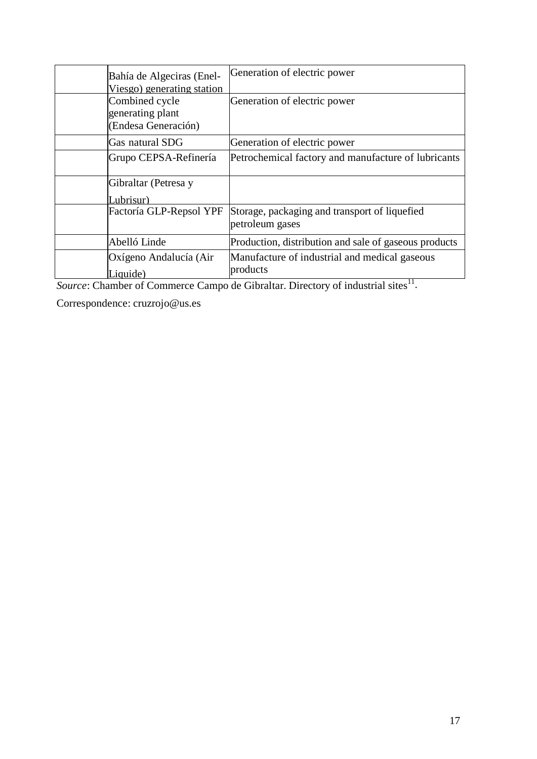| Bahía de Algeciras (Enel-<br>Viesgo) generating station   | Generation of electric power                                     |
|-----------------------------------------------------------|------------------------------------------------------------------|
| Combined cycle<br>generating plant<br>(Endesa Generación) | Generation of electric power                                     |
| Gas natural SDG                                           | Generation of electric power                                     |
| Grupo CEPSA-Refinería                                     | Petrochemical factory and manufacture of lubricants              |
| Gibraltar (Petresa y<br>Lubrisur)                         |                                                                  |
| Factoría GLP-Repsol YPF                                   | Storage, packaging and transport of liquefied<br>petroleum gases |
| Abelló Linde                                              | Production, distribution and sale of gaseous products            |
| Oxígeno Andalucía (Air<br>Liquide)                        | Manufacture of industrial and medical gaseous<br>products        |

Source: Chamber of Commerce Campo de Gibraltar. Directory of industrial sites<sup>11</sup>.

Correspondence: [cruzrojo@us.es](mailto:cruzrojo@us.es)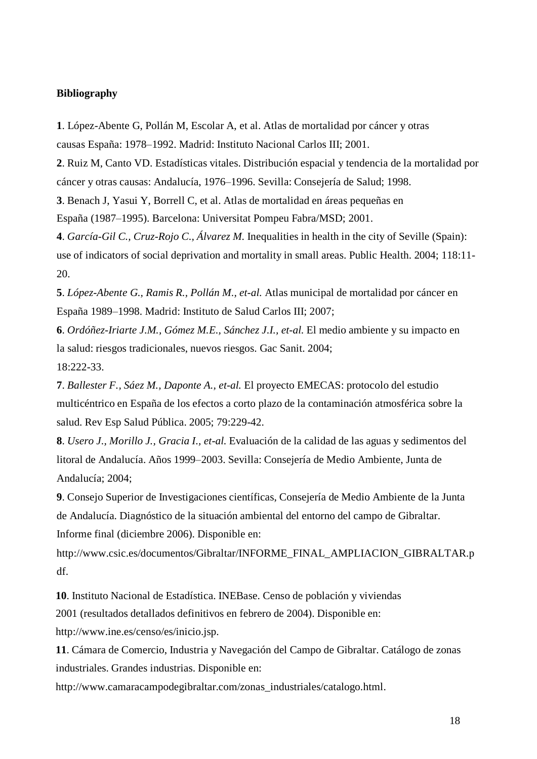## **Bibliography**

**1**. López-Abente G, Pollán M, Escolar A, et al. Atlas de mortalidad por cáncer y otras causas España: 1978–1992. Madrid: Instituto Nacional Carlos III; 2001.

**2**. Ruiz M, Canto VD. Estadísticas vitales. Distribución espacial y tendencia de la mortalidad por cáncer y otras causas: Andalucía, 1976–1996. Sevilla: Consejería de Salud; 1998.

**3**. Benach J, Yasui Y, Borrell C, et al. Atlas de mortalidad en áreas pequeñas en

España (1987–1995). Barcelona: Universitat Pompeu Fabra/MSD; 2001.

**4**. *García-Gil C., Cruz-Rojo C., Álvarez M.* Inequalities in health in the city of Seville (Spain): use of indicators of social deprivation and mortality in small areas. Public Health. 2004; 118:11- 20.

**5**. *López-Abente G., Ramis R., Pollán M., et-al.* Atlas municipal de mortalidad por cáncer en España 1989–1998. Madrid: Instituto de Salud Carlos III; 2007;

**6**. *Ordóñez-Iriarte J.M., Gómez M.E., Sánchez J.I., et-al.* El medio ambiente y su impacto en la salud: riesgos tradicionales, nuevos riesgos. Gac Sanit. 2004; 18:222-33.

**7**. *Ballester F., Sáez M., Daponte A., et-al.* El proyecto EMECAS: protocolo del estudio multicéntrico en España de los efectos a corto plazo de la contaminación atmosférica sobre la salud. Rev Esp Salud Pública. 2005; 79:229-42.

**8**. *Usero J., Morillo J., Gracia I., et-al.* Evaluación de la calidad de las aguas y sedimentos del litoral de Andalucía. Años 1999–2003. Sevilla: Consejería de Medio Ambiente, Junta de Andalucía; 2004;

**9**. Consejo Superior de Investigaciones científicas, Consejería de Medio Ambiente de la Junta de Andalucía. Diagnóstico de la situación ambiental del entorno del campo de Gibraltar. Informe final (diciembre 2006). Disponible en[:](http://www.csic.es/documentos/Gibraltar/INFORME_FINAL_AMPLIACION_GIBRALT)

[http://www.csic.es/documentos/Gibraltar/INFORME\\_FINAL\\_AMPLIACION\\_GIBRALTA](http://www.csic.es/documentos/Gibraltar/INFORME_FINAL_AMPLIACION_GIBRALT)R.p df.

**10**. Instituto Nacional de Estadística. INEBase. Censo de población y viviendas

2001 (resultados detallados definitivos en febrero de 2004). Disponible en:

[http://www.ine.es/censo/es/inicio.jsp.](http://www.ine.es/censo/es/inicio.jsp)

**11**. Cámara de Comercio, Industria y Navegación del Campo de Gibraltar. Catálogo de zonas industriales. Grandes industrias. Disponible en[:](http://www.camaracampodegibraltar.com/zonas_industriales/catalogo.html)

[http://www.camaracampodegibraltar.com/zonas\\_industriales/catalogo.html.](http://www.camaracampodegibraltar.com/zonas_industriales/catalogo.html)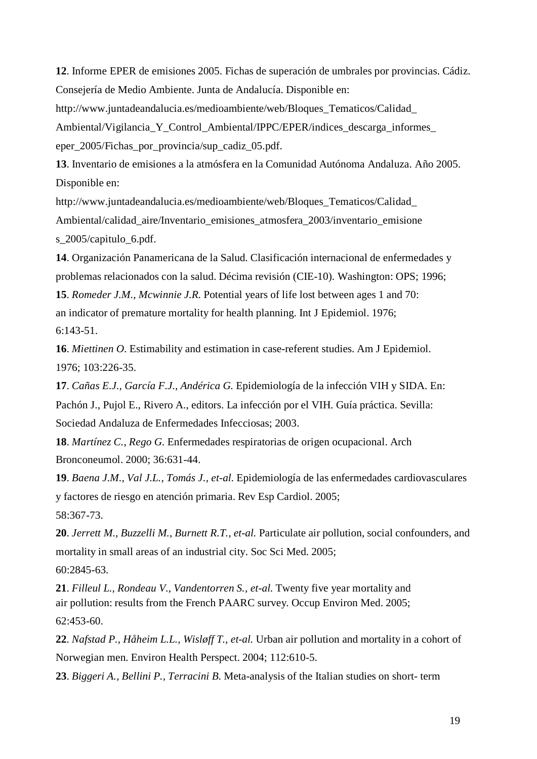**12**. Informe EPER de emisiones 2005. Fichas de superación de umbrales por provincias. Cádiz. Consejería de Medio Ambiente. Junta de Andalucía. Disponible en[:](http://www.juntadeandalucia.es/medioambiente/web/Bloques_Tematicos/Calidad_)

[http://www.juntadeandalucia.es/medioambiente/web/Bloques\\_Tematicos/Calidad\\_](http://www.juntadeandalucia.es/medioambiente/web/Bloques_Tematicos/Calidad_)

Ambiental/Vigilancia Y Control Ambiental/IPPC/EPER/indices descarga informes eper\_2005/Fichas\_por\_provincia/sup\_cadiz\_05.pdf.

**13**. Inventario de emisiones a la atmósfera en la Comunidad Autónoma Andaluza. Año 2005. Disponible en[:](http://www.juntadeandalucia.es/medioambiente/web/Bloques_Tematicos/Calidad_)

[http://www.juntadeandalucia.es/medioambiente/web/Bloques\\_Tematicos/Calidad\\_](http://www.juntadeandalucia.es/medioambiente/web/Bloques_Tematicos/Calidad_) Ambiental/calidad\_aire/Inventario\_emisiones\_atmosfera\_2003/inventario\_emisione s\_2005/capitulo\_6.pdf.

**14**. Organización Panamericana de la Salud. Clasificación internacional de enfermedades y problemas relacionados con la salud. Décima revisión (CIE-10). Washington: OPS; 1996; **15**. *Romeder J.M., Mcwinnie J.R.* Potential years of life lost between ages 1 and 70:

an indicator of premature mortality for health planning. Int J Epidemiol. 1976; 6:143-51.

**16**. *Miettinen O.* Estimability and estimation in case-referent studies. Am J Epidemiol. 1976; 103:226-35.

**17**. *Cañas E.J., García F.J., Andérica G.* Epidemiología de la infección VIH y SIDA. En: Pachón J., Pujol E., Rivero A., editors. La infección por el VIH. Guía práctica. Sevilla: Sociedad Andaluza de Enfermedades Infecciosas; 2003.

**18**. *Martínez C., Rego G.* Enfermedades respiratorias de origen ocupacional. Arch Bronconeumol. 2000; 36:631-44.

**19**. *Baena J.M., Val J.L., Tomás J., et-al.* Epidemiología de las enfermedades cardiovasculares y factores de riesgo en atención primaria. Rev Esp Cardiol. 2005;

58:367-73.

**20**. *Jerrett M., Buzzelli M., Burnett R.T., et-al.* Particulate air pollution, social confounders, and mortality in small areas of an industrial city. Soc Sci Med. 2005;

60:2845-63.

**21**. *Filleul L., Rondeau V., Vandentorren S., et-al.* Twenty five year mortality and air pollution: results from the French PAARC survey. Occup Environ Med. 2005; 62:453-60.

**22**. *Nafstad P., Håheim L.L., Wisløff T., et-al.* Urban air pollution and mortality in a cohort of Norwegian men. Environ Health Perspect. 2004; 112:610-5.

**23**. *Biggeri A., Bellini P., Terracini B.* Meta-analysis of the Italian studies on short- term